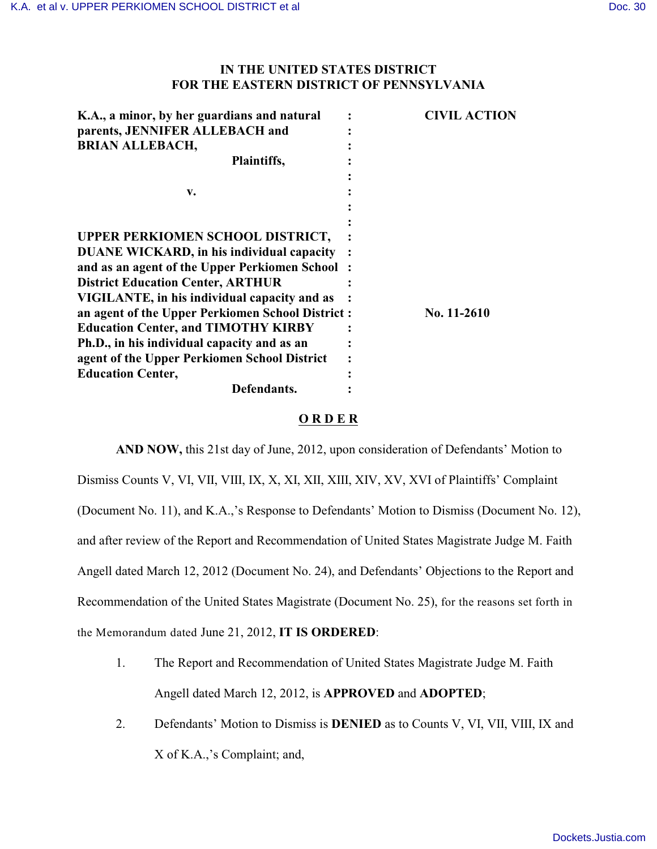## **IN THE UNITED STATES DISTRICT FOR THE EASTERN DISTRICT OF PENNSYLVANIA**

| K.A., a minor, by her guardians and natural      | <b>CIVIL ACTION</b> |
|--------------------------------------------------|---------------------|
| parents, JENNIFER ALLEBACH and                   |                     |
| <b>BRIAN ALLEBACH,</b>                           |                     |
| Plaintiffs,                                      |                     |
|                                                  |                     |
| v.                                               |                     |
|                                                  |                     |
|                                                  |                     |
| UPPER PERKIOMEN SCHOOL DISTRICT,                 |                     |
| <b>DUANE WICKARD, in his individual capacity</b> |                     |
| and as an agent of the Upper Perkiomen School:   |                     |
| <b>District Education Center, ARTHUR</b>         |                     |
| VIGILANTE, in his individual capacity and as     |                     |
| an agent of the Upper Perkiomen School District: | No. 11-2610         |
| <b>Education Center, and TIMOTHY KIRBY</b>       |                     |
| Ph.D., in his individual capacity and as an      |                     |
| agent of the Upper Perkiomen School District     |                     |
| <b>Education Center,</b>                         |                     |
| Defendants.                                      |                     |

## **O R D E R**

**AND NOW,** this 21st day of June, 2012, upon consideration of Defendants' Motion to Dismiss Counts V, VI, VII, VIII, IX, X, XI, XII, XIII, XIV, XV, XVI of Plaintiffs' Complaint (Document No. 11), and K.A.,'s Response to Defendants' Motion to Dismiss (Document No. 12), and after review of the Report and Recommendation of United States Magistrate Judge M. Faith Angell dated March 12, 2012 (Document No. 24), and Defendants' Objections to the Report and Recommendation of the United States Magistrate (Document No. 25), for the reasons set forth in the Memorandum dated June 21, 2012, **IT IS ORDERED**:

- 1. The Report and Recommendation of United States Magistrate Judge M. Faith Angell dated March 12, 2012, is **APPROVED** and **ADOPTED**;
- 2. Defendants' Motion to Dismiss is **DENIED** as to Counts V, VI, VII, VIII, IX and X of K.A.,'s Complaint; and,